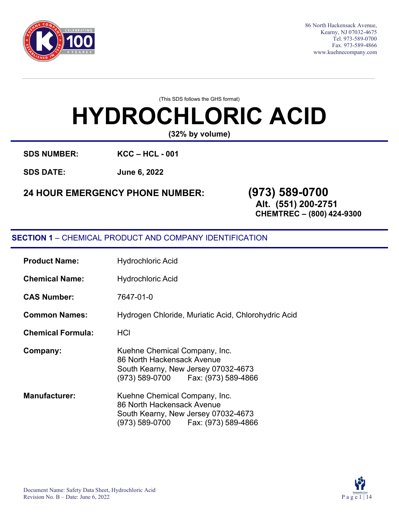

86 North Hackensack Avenue, Kearny, NJ 07032-4675 Tel. 973-589-0700 Fax. 973-589-4866 [www.kuehnecompany.com](http://www.kuehnecompany.com/)

(This SDS follows the GHS format)

# **HYDROCHLORIC ACID**

**(32% by volume)**

**SDS NUMBER: KCC – HCL - 001**

**SDS DATE: June 6, 2022**

# **24 HOUR EMERGENCY PHONE NUMBER: (973) 589-0700**

**Alt. (551) 200-2751 CHEMTREC – (800) 424-9300**

# **SECTION 1** – CHEMICAL PRODUCT AND COMPANY IDENTIFICATION

| <b>Product Name:</b>     | <b>Hydrochloric Acid</b>                                                                                                                    |
|--------------------------|---------------------------------------------------------------------------------------------------------------------------------------------|
| <b>Chemical Name:</b>    | <b>Hydrochloric Acid</b>                                                                                                                    |
| <b>CAS Number:</b>       | 7647-01-0                                                                                                                                   |
| <b>Common Names:</b>     | Hydrogen Chloride, Muriatic Acid, Chlorohydric Acid                                                                                         |
| <b>Chemical Formula:</b> | HCI                                                                                                                                         |
| Company:                 | Kuehne Chemical Company, Inc.<br>86 North Hackensack Avenue<br>South Kearny, New Jersey 07032-4673<br>(973) 589-0700    Fax: (973) 589-4866 |
| <b>Manufacturer:</b>     | Kuehne Chemical Company, Inc.<br>86 North Hackensack Avenue<br>South Kearny, New Jersey 07032-4673<br>(973) 589-0700    Fax: (973) 589-4866 |

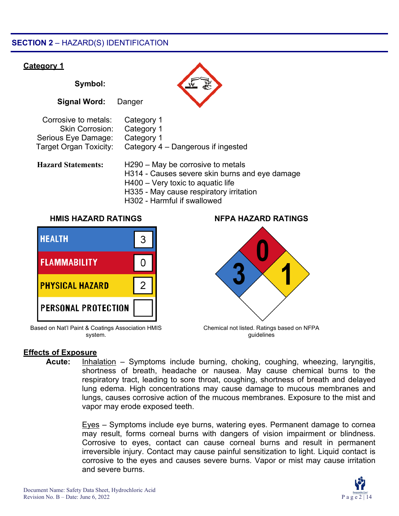# **SECTION 2** – HAZARD(S) IDENTIFICATION

# **Category 1**

**Symbol: Signal Word:** Danger Corrosive to metals: Category 1 Skin Corrosion: Category 1 Serious Eye Damage: Category 1 Target Organ Toxicity: Category 4 – Dangerous if ingested **Hazard Statements:** H290 – May be corrosive to metals H314 - Causes severe skin burns and eye damage H400 – Very toxic to aquatic life

- H335 May cause respiratory irritation
- H302 Harmful if swallowed



Based on Nat'l Paint & Coatings Association HMIS system.

# **HMIS HAZARD RATINGS NFPA HAZARD RATINGS**



Chemical not listed. Ratings based on NFPA guidelines

# **Effects of Exposure**

**Acute:** Inhalation – Symptoms include burning, choking, coughing, wheezing, laryngitis, shortness of breath, headache or nausea. May cause chemical burns to the respiratory tract, leading to sore throat, coughing, shortness of breath and delayed lung edema. High concentrations may cause damage to mucous membranes and lungs, causes corrosive action of the mucous membranes. Exposure to the mist and vapor may erode exposed teeth.

> Eyes – Symptoms include eye burns, watering eyes. Permanent damage to cornea may result, forms corneal burns with dangers of vision impairment or blindness. Corrosive to eyes, contact can cause corneal burns and result in permanent irreversible injury. Contact may cause painful sensitization to light. Liquid contact is corrosive to the eyes and causes severe burns. Vapor or mist may cause irritation and severe burns.

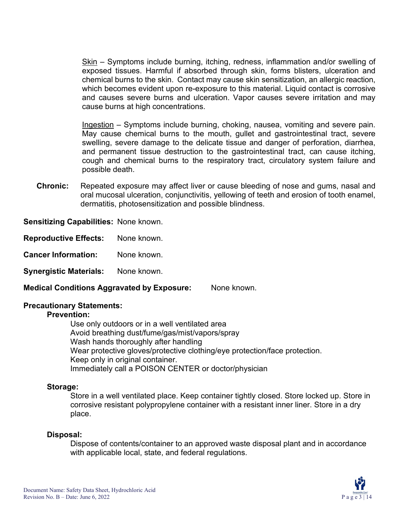Skin – Symptoms include burning, itching, redness, inflammation and/or swelling of exposed tissues. Harmful if absorbed through skin, forms blisters, ulceration and chemical burns to the skin. Contact may cause skin sensitization, an allergic reaction, which becomes evident upon re-exposure to this material. Liquid contact is corrosive and causes severe burns and ulceration. Vapor causes severe irritation and may cause burns at high concentrations.

Ingestion – Symptoms include burning, choking, nausea, vomiting and severe pain. May cause chemical burns to the mouth, gullet and gastrointestinal tract, severe swelling, severe damage to the delicate tissue and danger of perforation, diarrhea, and permanent tissue destruction to the gastrointestinal tract, can cause itching, cough and chemical burns to the respiratory tract, circulatory system failure and possible death.

**Chronic:** Repeated exposure may affect liver or cause bleeding of nose and gums, nasal and oral mucosal ulceration, conjunctivitis, yellowing of teeth and erosion of tooth enamel, dermatitis, photosensitization and possible blindness.

**Sensitizing Capabilities:** None known.

**Reproductive Effects:** None known.

**Cancer Information:** None known.

**Synergistic Materials:** None known.

**Medical Conditions Aggravated by Exposure:** None known.

# **Precautionary Statements:**

# **Prevention:**

Use only outdoors or in a well ventilated area Avoid breathing dust/fume/gas/mist/vapors/spray Wash hands thoroughly after handling Wear protective gloves/protective clothing/eye protection/face protection. Keep only in original container. Immediately call a POISON CENTER or doctor/physician

# **Storage:**

Store in a well ventilated place. Keep container tightly closed. Store locked up. Store in corrosive resistant polypropylene container with a resistant inner liner. Store in a dry place.

# **Disposal:**

Dispose of contents/container to an approved waste disposal plant and in accordance with applicable local, state, and federal regulations.

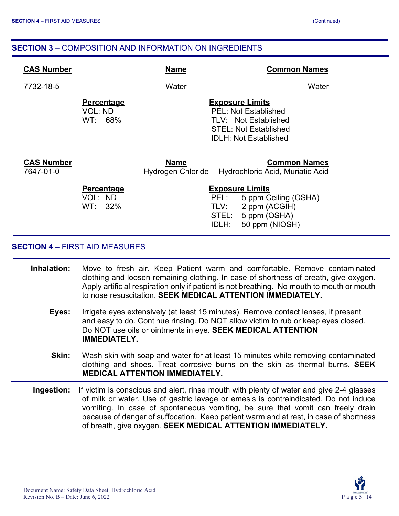# **SECTION 3** – COMPOSITION AND INFORMATION ON INGREDIENTS

| <b>CAS Number</b>              |                                            | <b>Name</b>                      | <b>Common Names</b>                                                                                                                           |
|--------------------------------|--------------------------------------------|----------------------------------|-----------------------------------------------------------------------------------------------------------------------------------------------|
| 7732-18-5                      |                                            | Water                            | Water                                                                                                                                         |
|                                | <b>Percentage</b><br>VOL: ND<br>WT: 68%    |                                  | <b>Exposure Limits</b><br><b>PEL: Not Established</b><br>TLV: Not Established<br><b>STEL: Not Established</b><br><b>IDLH: Not Established</b> |
| <b>CAS Number</b><br>7647-01-0 |                                            | <b>Name</b><br>Hydrogen Chloride | <b>Common Names</b><br>Hydrochloric Acid, Muriatic Acid                                                                                       |
|                                | <b>Percentage</b><br>VOL: ND<br>$WT: 32\%$ | PEL:<br>TLV:<br>STEL:<br>IDLH:   | <b>Exposure Limits</b><br>5 ppm Ceiling (OSHA)<br>2 ppm (ACGIH)<br>5 ppm (OSHA)<br>50 ppm (NIOSH)                                             |

# **SECTION 4** – FIRST AID MEASURES

- **Inhalation:** Move to fresh air. Keep Patient warm and comfortable. Remove contaminated clothing and loosen remaining clothing. In case of shortness of breath, give oxygen. Apply artificial respiration only if patient is not breathing. No mouth to mouth or mouth to nose resuscitation. **SEEK MEDICAL ATTENTION IMMEDIATELY.**
	- **Eyes:** Irrigate eyes extensively (at least 15 minutes). Remove contact lenses, if present and easy to do. Continue rinsing. Do NOT allow victim to rub or keep eyes closed. Do NOT use oils or ointments in eye. **SEEK MEDICAL ATTENTION IMMEDIATELY.**
	- **Skin:** Wash skin with soap and water for at least 15 minutes while removing contaminated clothing and shoes. Treat corrosive burns on the skin as thermal burns. **SEEK MEDICAL ATTENTION IMMEDIATELY.**
- **Ingestion:** If victim is conscious and alert, rinse mouth with plenty of water and give 2-4 glasses of milk or water. Use of gastric lavage or emesis is contraindicated. Do not induce vomiting. In case of spontaneous vomiting, be sure that vomit can freely drain because of danger of suffocation. Keep patient warm and at rest, in case of shortness of breath, give oxygen. **SEEK MEDICAL ATTENTION IMMEDIATELY.**

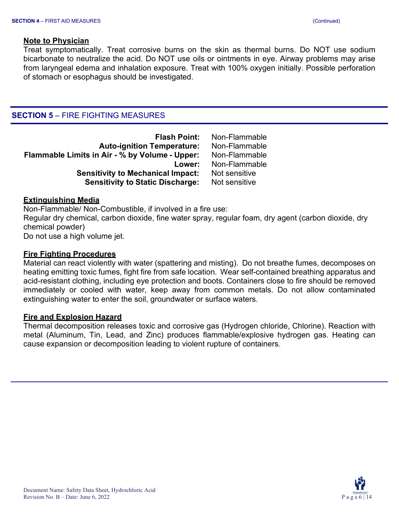#### **Note to Physician**

Treat symptomatically. Treat corrosive burns on the skin as thermal burns. Do NOT use sodium bicarbonate to neutralize the acid. Do NOT use oils or ointments in eye. Airway problems may arise from laryngeal edema and inhalation exposure. Treat with 100% oxygen initially. Possible perforation of stomach or esophagus should be investigated.

# **SECTION 5** – FIRE FIGHTING MEASURES

| Non-Flammable |
|---------------|
| Non-Flammable |
| Non-Flammable |
| Non-Flammable |
| Not sensitive |
| Not sensitive |
|               |

#### **Extinguishing Media**

Non-Flammable/ Non-Combustible, if involved in a fire use: Regular dry chemical, carbon dioxide, fine water spray, regular foam, dry agent (carbon dioxide, dry chemical powder) Do not use a high volume jet.

#### **Fire Fighting Procedures**

Material can react violently with water (spattering and misting). Do not breathe fumes, decomposes on heating emitting toxic fumes, fight fire from safe location. Wear self-contained breathing apparatus and acid-resistant clothing, including eye protection and boots. Containers close to fire should be removed immediately or cooled with water, keep away from common metals. Do not allow contaminated extinguishing water to enter the soil, groundwater or surface waters.

#### **Fire and Explosion Hazard**

Thermal decomposition releases toxic and corrosive gas (Hydrogen chloride, Chlorine). Reaction with metal (Aluminum, Tin, Lead, and Zinc) produces flammable/explosive hydrogen gas. Heating can cause expansion or decomposition leading to violent rupture of containers.

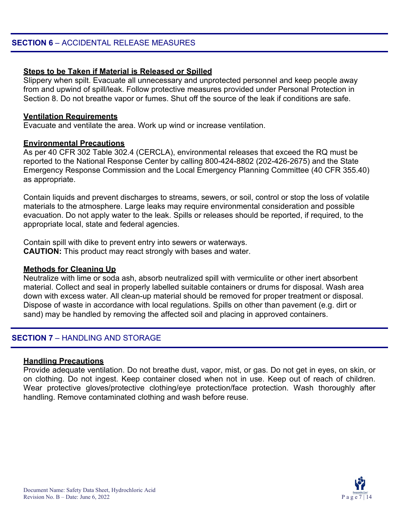# **Steps to be Taken if Material is Released or Spilled**

Slippery when spilt. Evacuate all unnecessary and unprotected personnel and keep people away from and upwind of spill/leak. Follow protective measures provided under Personal Protection in Section 8. Do not breathe vapor or fumes. Shut off the source of the leak if conditions are safe.

#### **Ventilation Requirements**

Evacuate and ventilate the area. Work up wind or increase ventilation.

#### **Environmental Precautions**

As per 40 CFR 302 Table 302.4 (CERCLA), environmental releases that exceed the RQ must be reported to the National Response Center by calling 800-424-8802 (202-426-2675) and the State Emergency Response Commission and the Local Emergency Planning Committee (40 CFR 355.40) as appropriate.

Contain liquids and prevent discharges to streams, sewers, or soil, control or stop the loss of volatile materials to the atmosphere. Large leaks may require environmental consideration and possible evacuation. Do not apply water to the leak. Spills or releases should be reported, if required, to the appropriate local, state and federal agencies.

Contain spill with dike to prevent entry into sewers or waterways. **CAUTION:** This product may react strongly with bases and water.

# **Methods for Cleaning Up**

Neutralize with lime or soda ash, absorb neutralized spill with vermiculite or other inert absorbent material. Collect and seal in properly labelled suitable containers or drums for disposal. Wash area down with excess water. All clean-up material should be removed for proper treatment or disposal. Dispose of waste in accordance with local regulations. Spills on other than pavement (e.g. dirt or sand) may be handled by removing the affected soil and placing in approved containers.

# **SECTION 7 - HANDLING AND STORAGE**

# **Handling Precautions**

Provide adequate ventilation. Do not breathe dust, vapor, mist, or gas. Do not get in eyes, on skin, or on clothing. Do not ingest. Keep container closed when not in use. Keep out of reach of children. Wear protective gloves/protective clothing/eye protection/face protection. Wash thoroughly after handling. Remove contaminated clothing and wash before reuse.

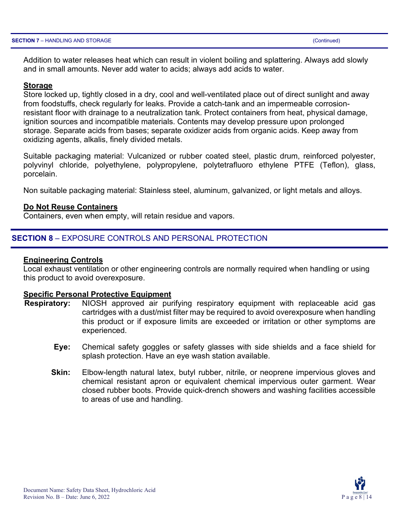Addition to water releases heat which can result in violent boiling and splattering. Always add slowly and in small amounts. Never add water to acids; always add acids to water.

#### **Storage**

Store locked up, tightly closed in a dry, cool and well-ventilated place out of direct sunlight and away from foodstuffs, check regularly for leaks. Provide a catch-tank and an impermeable corrosionresistant floor with drainage to a neutralization tank. Protect containers from heat, physical damage, ignition sources and incompatible materials. Contents may develop pressure upon prolonged storage. Separate acids from bases; separate oxidizer acids from organic acids. Keep away from oxidizing agents, alkalis, finely divided metals.

Suitable packaging material: Vulcanized or rubber coated steel, plastic drum, reinforced polyester, polyvinyl chloride, polyethylene, polypropylene, polytetrafluoro ethylene PTFE (Teflon), glass, porcelain.

Non suitable packaging material: Stainless steel, aluminum, galvanized, or light metals and alloys.

#### **Do Not Reuse Containers**

Containers, even when empty, will retain residue and vapors.

# **SECTION 8** – EXPOSURE CONTROLS AND PERSONAL PROTECTION

#### **Engineering Controls**

Local exhaust ventilation or other engineering controls are normally required when handling or using this product to avoid overexposure.

#### **Specific Personal Protective Equipment**

- **Respiratory:** NIOSH approved air purifying respiratory equipment with replaceable acid gas cartridges with a dust/mist filter may be required to avoid overexposure when handling this product or if exposure limits are exceeded or irritation or other symptoms are experienced.
	- **Eye:** Chemical safety goggles or safety glasses with side shields and a face shield for splash protection. Have an eye wash station available.
	- **Skin:** Elbow-length natural latex, butyl rubber, nitrile, or neoprene impervious gloves and chemical resistant apron or equivalent chemical impervious outer garment. Wear closed rubber boots. Provide quick-drench showers and washing facilities accessible to areas of use and handling.

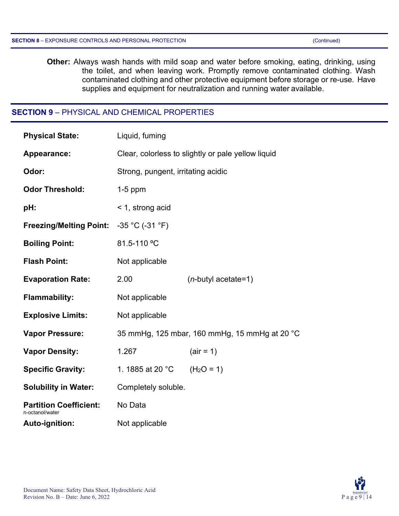**Other:** Always wash hands with mild soap and water before smoking, eating, drinking, using the toilet, and when leaving work. Promptly remove contaminated clothing. Wash contaminated clothing and other protective equipment before storage or re-use. Have supplies and equipment for neutralization and running water available.

# **SECTION 9** – PHYSICAL AND CHEMICAL PROPERTIES

| <b>Physical State:</b>                           | Liquid, fuming                                     |                        |
|--------------------------------------------------|----------------------------------------------------|------------------------|
| Appearance:                                      | Clear, colorless to slightly or pale yellow liquid |                        |
| Odor:                                            | Strong, pungent, irritating acidic                 |                        |
| <b>Odor Threshold:</b>                           | $1-5$ ppm                                          |                        |
| pH:                                              | < 1, strong acid                                   |                        |
| Freezing/Melting Point: -35 °C (-31 °F)          |                                                    |                        |
| <b>Boiling Point:</b>                            | 81.5-110 °C                                        |                        |
| <b>Flash Point:</b>                              | Not applicable                                     |                        |
| <b>Evaporation Rate:</b>                         | 2.00                                               | $(n$ -butyl acetate=1) |
| <b>Flammability:</b>                             | Not applicable                                     |                        |
| <b>Explosive Limits:</b>                         | Not applicable                                     |                        |
| <b>Vapor Pressure:</b>                           | 35 mmHg, 125 mbar, 160 mmHg, 15 mmHg at 20 °C      |                        |
| <b>Vapor Density:</b>                            | 1.267                                              | $-air = 1)$            |
| <b>Specific Gravity:</b>                         | 1. 1885 at 20 °C                                   | $(H2O = 1)$            |
| <b>Solubility in Water:</b>                      | Completely soluble.                                |                        |
| <b>Partition Coefficient:</b><br>n-octanol/water | No Data                                            |                        |
| Auto-ignition:                                   | Not applicable                                     |                        |

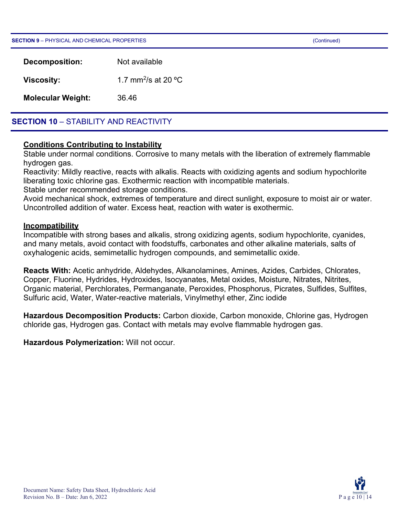**SECTION 9** – PHYSICAL AND CHEMICAL PROPERTIES (Continued)

| Decomposition:           | Not available                   |
|--------------------------|---------------------------------|
| Viscosity:               | 1.7 mm <sup>2</sup> /s at 20 °C |
| <b>Molecular Weight:</b> | 36.46                           |

# **SECTION 10** – STABILITY AND REACTIVITY

# **Conditions Contributing to Instability**

Stable under normal conditions. Corrosive to many metals with the liberation of extremely flammable hydrogen gas.

Reactivity: Mildly reactive, reacts with alkalis. Reacts with oxidizing agents and sodium hypochlorite liberating toxic chlorine gas. Exothermic reaction with incompatible materials.

Stable under recommended storage conditions.

Avoid mechanical shock, extremes of temperature and direct sunlight, exposure to moist air or water. Uncontrolled addition of water. Excess heat, reaction with water is exothermic.

#### **Incompatibility**

Incompatible with strong bases and alkalis, strong oxidizing agents, sodium hypochlorite, cyanides, and many metals, avoid contact with foodstuffs, carbonates and other alkaline materials, salts of oxyhalogenic acids, semimetallic hydrogen compounds, and semimetallic oxide.

**Reacts With:** Acetic anhydride, Aldehydes, Alkanolamines, Amines, Azides, Carbides, Chlorates, Copper, Fluorine, Hydrides, Hydroxides, Isocyanates, Metal oxides, Moisture, Nitrates, Nitrites, Organic material, Perchlorates, Permanganate, Peroxides, Phosphorus, Picrates, Sulfides, Sulfites, Sulfuric acid, Water, Water-reactive materials, Vinylmethyl ether, Zinc iodide

**Hazardous Decomposition Products:** Carbon dioxide, Carbon monoxide, Chlorine gas, Hydrogen chloride gas, Hydrogen gas. Contact with metals may evolve flammable hydrogen gas.

**Hazardous Polymerization:** Will not occur.

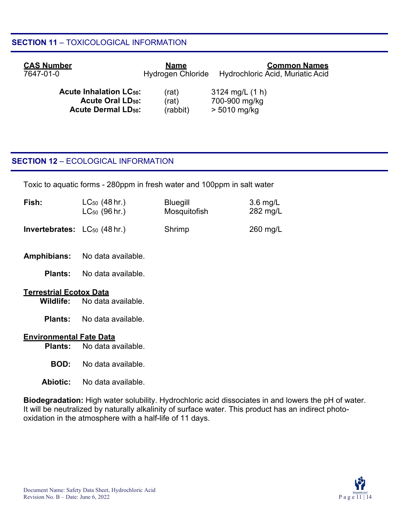# **SECTION 11** – TOXICOLOGICAL INFORMATION

| <b>CAS Number</b>                    | <u>Name</u>              | <b>Common Names</b>                     |
|--------------------------------------|--------------------------|-----------------------------------------|
| 7647-01-0                            | <b>Hydrogen Chloride</b> | <b>Hydrochloric Acid, Muriatic Acid</b> |
| <b>Acute Inhalation LC50:</b>        | (rat)                    | $3124 \text{ mg/L}$ (1 h)               |
| <b>Acute Oral LD<sub>50</sub>:</b>   | (rat)                    | 700-900 mg/kg                           |
| <b>Acute Dermal LD<sub>50</sub>:</b> | (rabbit)                 | $> 5010$ mg/kg                          |

# **SECTION 12** – ECOLOGICAL INFORMATION

Toxic to aquatic forms - 280ppm in fresh water and 100ppm in salt water

| Fish:                                    | $LC_{50}$ (48 hr.) | <b>Bluegill</b> | $3.6 \text{ mg/L}$ |
|------------------------------------------|--------------------|-----------------|--------------------|
|                                          | $LC_{50}$ (96 hr.) | Mosquitofish    | 282 mg/L           |
| <b>Invertebrates:</b> $LC_{50}$ (48 hr.) |                    | Shrimp          | $260 \text{ mg/L}$ |

**Amphibians:** No data available.

**Plants:** No data available.

# **Terrestrial Ecotox Data**

- **Wildlife:** No data available.
- **Plants:** No data available.

# **Environmental Fate Data**

**Plants:** No data available.

- **BOD:** No data available.
- **Abiotic:** No data available.

**Biodegradation:** High water solubility. Hydrochloric acid dissociates in and lowers the pH of water. It will be neutralized by naturally alkalinity of surface water. This product has an indirect photooxidation in the atmosphere with a half-life of 11 days.

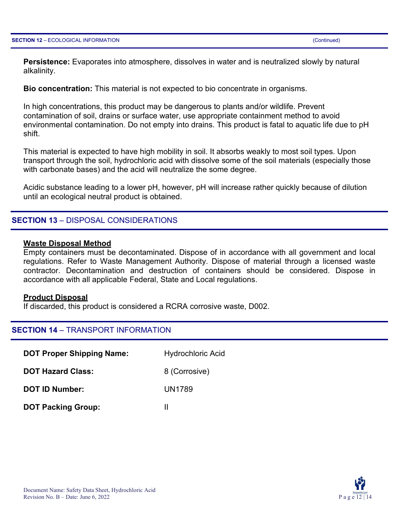**Persistence:** Evaporates into atmosphere, dissolves in water and is neutralized slowly by natural alkalinity.

**Bio concentration:** This material is not expected to bio concentrate in organisms.

In high concentrations, this product may be dangerous to plants and/or wildlife. Prevent contamination of soil, drains or surface water, use appropriate containment method to avoid environmental contamination. Do not empty into drains. This product is fatal to aquatic life due to pH shift.

This material is expected to have high mobility in soil. It absorbs weakly to most soil types. Upon transport through the soil, hydrochloric acid with dissolve some of the soil materials (especially those with carbonate bases) and the acid will neutralize the some degree.

Acidic substance leading to a lower pH, however, pH will increase rather quickly because of dilution until an ecological neutral product is obtained.

#### **SECTION 13** – DISPOSAL CONSIDERATIONS

#### **Waste Disposal Method**

Empty containers must be decontaminated. Dispose of in accordance with all government and local regulations. Refer to Waste Management Authority. Dispose of material through a licensed waste contractor. Decontamination and destruction of containers should be considered. Dispose in accordance with all applicable Federal, State and Local regulations.

#### **Product Disposal**

If discarded, this product is considered a RCRA corrosive waste, D002.

#### **SECTION 14** – TRANSPORT INFORMATION

**DOT Proper Shipping Name:** Hydrochloric Acid **DOT Hazard Class:** 8 (Corrosive) **DOT ID Number:** UN1789

**DOT** Packing Group: II

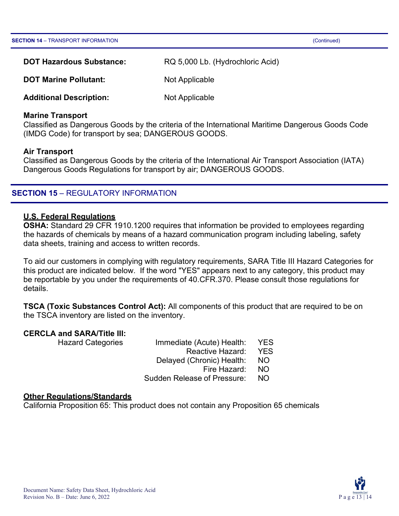| <b>DOT Hazardous Substance:</b> | RQ 5,000 Lb. (Hydrochloric Acid) |
|---------------------------------|----------------------------------|
| <b>DOT Marine Pollutant:</b>    | Not Applicable                   |

**Additional Description:** Not Applicable

#### **Marine Transport**

Classified as Dangerous Goods by the criteria of the International Maritime Dangerous Goods Code (IMDG Code) for transport by sea; DANGEROUS GOODS.

#### **Air Transport**

Classified as Dangerous Goods by the criteria of the International Air Transport Association (IATA) Dangerous Goods Regulations for transport by air; DANGEROUS GOODS.

# **SECTION 15 - REGULATORY INFORMATION**

#### **U.S. Federal Regulations**

**OSHA:** Standard 29 CFR 1910.1200 requires that information be provided to employees regarding the hazards of chemicals by means of a hazard communication program including labeling, safety data sheets, training and access to written records.

To aid our customers in complying with regulatory requirements, SARA Title III Hazard Categories for this product are indicated below. If the word "YES" appears next to any category, this product may be reportable by you under the requirements of 40.CFR.370. Please consult those regulations for details.

**TSCA (Toxic Substances Control Act):** All components of this product that are required to be on the TSCA inventory are listed on the inventory.

# **CERCLA and SARA/Title III:**

Hazard Categories Immediate (Acute) Health: YES Reactive Hazard: YES Delayed (Chronic) Health: NO Fire Hazard: NO Sudden Release of Pressure: NO

#### **Other Regulations/Standards**

California Proposition 65: This product does not contain any Proposition 65 chemicals